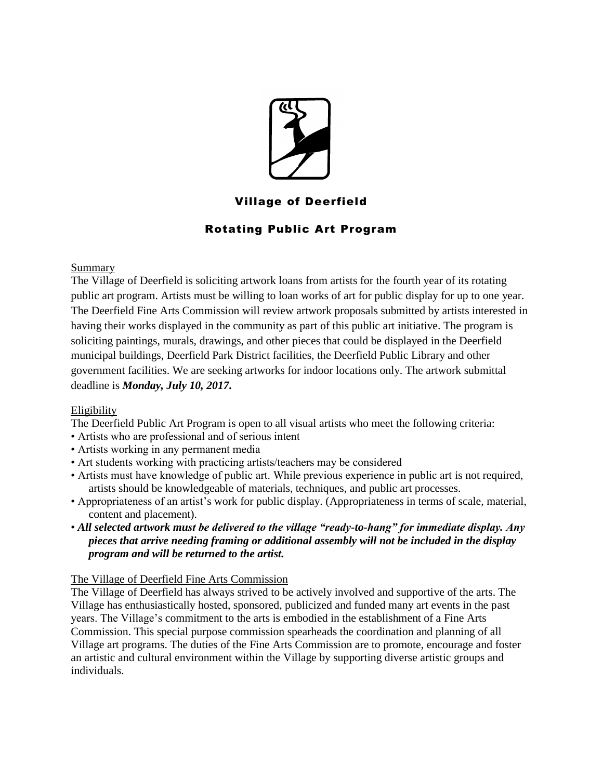

# Village of Deerfield

# Rotating Public Art Program

## Summary

The Village of Deerfield is soliciting artwork loans from artists for the fourth year of its rotating public art program. Artists must be willing to loan works of art for public display for up to one year. The Deerfield Fine Arts Commission will review artwork proposals submitted by artists interested in having their works displayed in the community as part of this public art initiative. The program is soliciting paintings, murals, drawings, and other pieces that could be displayed in the Deerfield municipal buildings, Deerfield Park District facilities, the Deerfield Public Library and other government facilities. We are seeking artworks for indoor locations only. The artwork submittal deadline is *Monday, July 10, 2017.*

# Eligibility

The Deerfield Public Art Program is open to all visual artists who meet the following criteria:

- Artists who are professional and of serious intent
- Artists working in any permanent media
- Art students working with practicing artists/teachers may be considered
- Artists must have knowledge of public art. While previous experience in public art is not required, artists should be knowledgeable of materials, techniques, and public art processes.
- Appropriateness of an artist's work for public display. (Appropriateness in terms of scale, material, content and placement).
- *All selected artwork must be delivered to the village "ready-to-hang" for immediate display. Any pieces that arrive needing framing or additional assembly will not be included in the display program and will be returned to the artist.*

# The Village of Deerfield Fine Arts Commission

The Village of Deerfield has always strived to be actively involved and supportive of the arts. The Village has enthusiastically hosted, sponsored, publicized and funded many art events in the past years. The Village's commitment to the arts is embodied in the establishment of a Fine Arts Commission. This special purpose commission spearheads the coordination and planning of all Village art programs. The duties of the Fine Arts Commission are to promote, encourage and foster an artistic and cultural environment within the Village by supporting diverse artistic groups and individuals.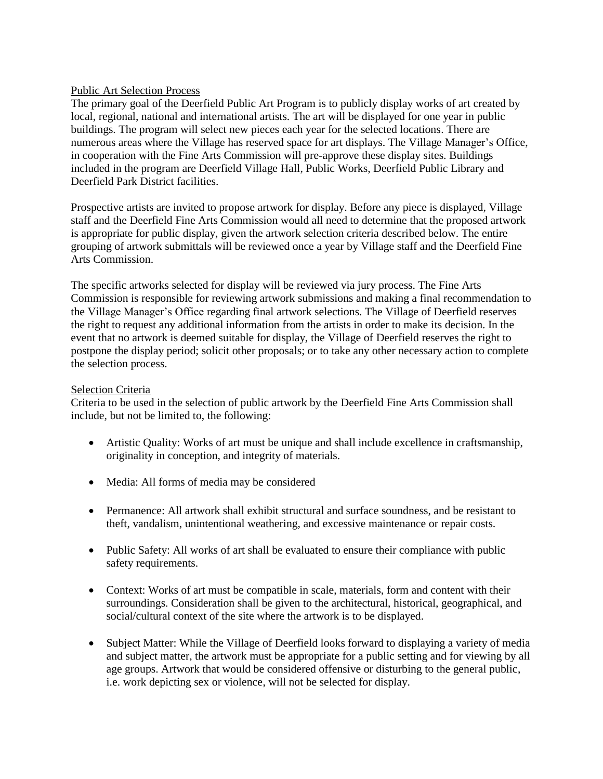#### Public Art Selection Process

The primary goal of the Deerfield Public Art Program is to publicly display works of art created by local, regional, national and international artists. The art will be displayed for one year in public buildings. The program will select new pieces each year for the selected locations. There are numerous areas where the Village has reserved space for art displays. The Village Manager's Office, in cooperation with the Fine Arts Commission will pre-approve these display sites. Buildings included in the program are Deerfield Village Hall, Public Works, Deerfield Public Library and Deerfield Park District facilities.

Prospective artists are invited to propose artwork for display. Before any piece is displayed, Village staff and the Deerfield Fine Arts Commission would all need to determine that the proposed artwork is appropriate for public display, given the artwork selection criteria described below. The entire grouping of artwork submittals will be reviewed once a year by Village staff and the Deerfield Fine Arts Commission.

The specific artworks selected for display will be reviewed via jury process. The Fine Arts Commission is responsible for reviewing artwork submissions and making a final recommendation to the Village Manager's Office regarding final artwork selections. The Village of Deerfield reserves the right to request any additional information from the artists in order to make its decision. In the event that no artwork is deemed suitable for display, the Village of Deerfield reserves the right to postpone the display period; solicit other proposals; or to take any other necessary action to complete the selection process.

#### Selection Criteria

Criteria to be used in the selection of public artwork by the Deerfield Fine Arts Commission shall include, but not be limited to, the following:

- Artistic Quality: Works of art must be unique and shall include excellence in craftsmanship, originality in conception, and integrity of materials.
- Media: All forms of media may be considered
- Permanence: All artwork shall exhibit structural and surface soundness, and be resistant to theft, vandalism, unintentional weathering, and excessive maintenance or repair costs.
- Public Safety: All works of art shall be evaluated to ensure their compliance with public safety requirements.
- Context: Works of art must be compatible in scale, materials, form and content with their surroundings. Consideration shall be given to the architectural, historical, geographical, and social/cultural context of the site where the artwork is to be displayed.
- Subject Matter: While the Village of Deerfield looks forward to displaying a variety of media and subject matter, the artwork must be appropriate for a public setting and for viewing by all age groups. Artwork that would be considered offensive or disturbing to the general public, i.e. work depicting sex or violence, will not be selected for display.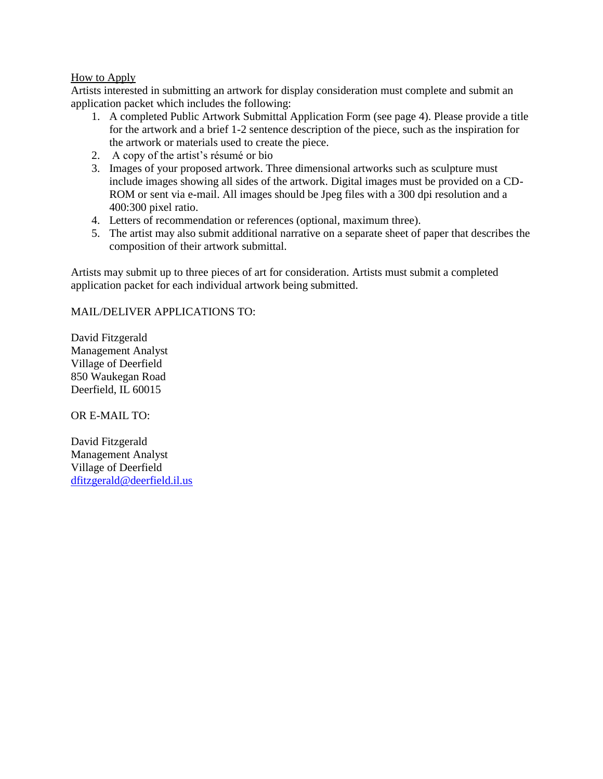#### How to Apply

Artists interested in submitting an artwork for display consideration must complete and submit an application packet which includes the following:

- 1. A completed Public Artwork Submittal Application Form (see page 4). Please provide a title for the artwork and a brief 1-2 sentence description of the piece, such as the inspiration for the artwork or materials used to create the piece.
- 2. A copy of the artist's résumé or bio
- 3. Images of your proposed artwork. Three dimensional artworks such as sculpture must include images showing all sides of the artwork. Digital images must be provided on a CD-ROM or sent via e-mail. All images should be Jpeg files with a 300 dpi resolution and a 400:300 pixel ratio.
- 4. Letters of recommendation or references (optional, maximum three).
- 5. The artist may also submit additional narrative on a separate sheet of paper that describes the composition of their artwork submittal.

Artists may submit up to three pieces of art for consideration. Artists must submit a completed application packet for each individual artwork being submitted.

### MAIL/DELIVER APPLICATIONS TO:

David Fitzgerald Management Analyst Village of Deerfield 850 Waukegan Road Deerfield, IL 60015

OR E-MAIL TO:

David Fitzgerald Management Analyst Village of Deerfield [dfitzgerald@deerfield.il.us](mailto:dfitzgerald@deerfield.il.us)